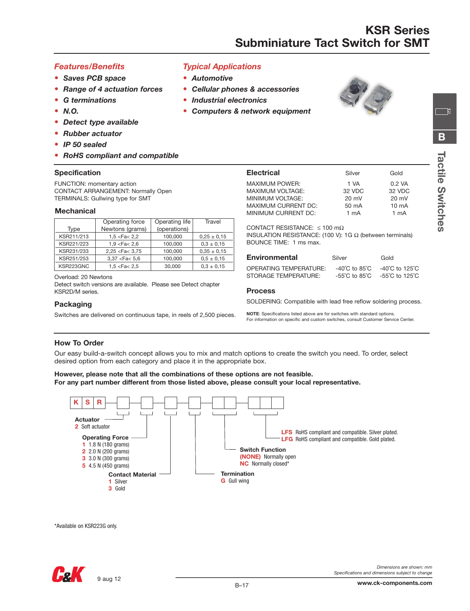## *Features/Benefits*

- **•** *Saves PCB space*
- **•** *Range of 4 actuation forces*
- **•** *G terminations*
- **•** *N.O.*
- **•** *Detect type available*
- **•** *Rubber actuator*
- **•** *IP 50 sealed*
- **•** *RoHS compliant and compatible*

#### **Specification**

FUNCTION: momentary action CONTACT ARRANGEMENT: Normally Open TERMINALS: Gullwing type for SMT

#### **Mechanical**

|            | Operating force   | Operating life | Travel          |
|------------|-------------------|----------------|-----------------|
| Type       | Newtons (grams)   | (operations)   |                 |
| KSR211/213 | 1,5 < Fa < 2,2    | 100,000        | $0.25 \pm 0.15$ |
| KSR221/223 | 1,9 < Fa < 2,6    | 100,000        | $0.3 \pm 0.15$  |
| KSR231/233 | 2,25 < Fac < 3,75 | 100,000        | $0.35 \pm 0.15$ |
| KSR251/253 | 3,37 < Fa < 5,6   | 100,000        | $0.5 \pm 0.15$  |
| KSR223GNC  | 1.5 < Fa < 2.5    | 30,000         | $0.3 \pm 0.15$  |
|            |                   |                |                 |

Overload: 20 Newtons

Detect switch versions are available. Please see Detect chapter KSR2D/M series.

#### **Packaging**

Switches are delivered on continuous tape, in reels of 2,500 pieces.

| <b>Typical Applications</b> |  |  |  |
|-----------------------------|--|--|--|
|-----------------------------|--|--|--|

- **•** *Automotive*
- **•** *Cellular phones & accessories*
- **•** *Industrial electronics*
- **•** *Computers & network equipment*



ាក

| <b>Electrical</b>          | Silver          | Gold             |
|----------------------------|-----------------|------------------|
| <b>MAXIMUM POWER:</b>      | 1 VA            | $0.2 \text{ VA}$ |
| <b>MAXIMUM VOLTAGE:</b>    | 32 VDC          | 32 VDC           |
| MINIMUM VOLTAGE:           | $20 \text{ mV}$ | $20 \text{ mV}$  |
| <b>MAXIMUM CURRENT DC:</b> | 50 mA           | $10 \text{ mA}$  |
| MINIMUM CURRENT DC:        | 1 mA            | 1 mA             |
|                            |                 |                  |

CONTACT RESISTANCE: ≤ 100 mΩ

INSULATION RESISTANCE: (100 V): 1G Ω (between terminals) BOUNCE TIME: 1 ms max.

| <b>Environmental</b>                           | Silver | Gold                                                                                                                                             |
|------------------------------------------------|--------|--------------------------------------------------------------------------------------------------------------------------------------------------|
| OPERATING TEMPERATURE:<br>STORAGE TEMPERATURE: |        | $-40^{\circ}$ C to 85 $^{\circ}$ C $-40^{\circ}$ C to 125 $^{\circ}$ C<br>$-55^{\circ}$ C to 85 $^{\circ}$ C $-55^{\circ}$ C to 125 $^{\circ}$ C |

#### **Process**

SOLDERING: Compatible with lead free reflow soldering process.

**NOTE**: Specifications listed above are for switches with standard options. For information on specific and custom switches, consult Customer Service Center.

### **How To Order**

Our easy build-a-switch concept allows you to mix and match options to create the switch you need. To order, select desired option from each category and place it in the appropriate box.

#### **However, please note that all the combinations of these options are not feasible. For any part number different from those listed above, please consult your local representative.**



\*Available on KSR223G only.